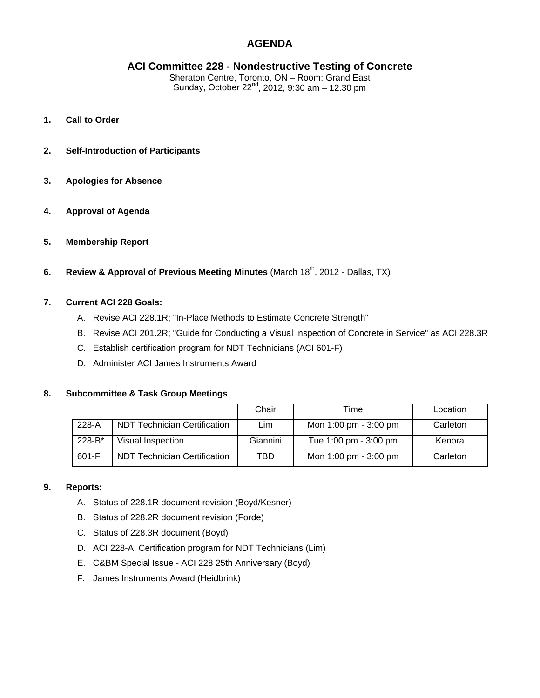# **AGENDA**

# **ACI Committee 228 - Nondestructive Testing of Concrete**

Sheraton Centre, Toronto, ON – Room: Grand East Sunday, October 22nd, 2012, 9:30 am – 12.30 pm

- **1. Call to Order**
- **2. Self-Introduction of Participants**
- **3. Apologies for Absence**
- **4. Approval of Agenda**
- **5. Membership Report**
- **6.** Review & Approval of Previous Meeting Minutes (March 18<sup>th</sup>, 2012 Dallas, TX)

# **7. Current ACI 228 Goals:**

- A. Revise ACI 228.1R; "In-Place Methods to Estimate Concrete Strength"
- B. Revise ACI 201.2R; "Guide for Conducting a Visual Inspection of Concrete in Service" as ACI 228.3R
- C. Establish certification program for NDT Technicians (ACI 601-F)
- D. Administer ACI James Instruments Award

#### **8. Subcommittee & Task Group Meetings**

|          |                                     | Chair    | Time                  | Location |
|----------|-------------------------------------|----------|-----------------------|----------|
| $228-A$  | <b>NDT Technician Certification</b> | Lim      | Mon 1:00 pm - 3:00 pm | Carleton |
| $228-B*$ | Visual Inspection                   | Giannini | Tue 1:00 pm - 3:00 pm | Kenora   |
| $601-F$  | <b>NDT Technician Certification</b> | TBD      | Mon 1:00 pm - 3:00 pm | Carleton |

#### **9. Reports:**

- A. Status of 228.1R document revision (Boyd/Kesner)
- B. Status of 228.2R document revision (Forde)
- C. Status of 228.3R document (Boyd)
- D. ACI 228-A: Certification program for NDT Technicians (Lim)
- E. C&BM Special Issue ACI 228 25th Anniversary (Boyd)
- F. James Instruments Award (Heidbrink)